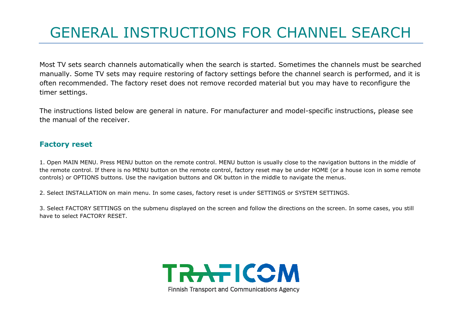## GENERAL INSTRUCTIONS FOR CHANNEL SEARCH

Most TV sets search channels automatically when the search is started. Sometimes the channels must be searched manually. Some TV sets may require restoring of factory settings before the channel search is performed, and it is often recommended. The factory reset does not remove recorded material but you may have to reconfigure the timer settings.

The instructions listed below are general in nature. For manufacturer and model-specific instructions, please see the manual of the receiver.

## **Factory reset**

1. Open MAIN MENU. Press MENU button on the remote control. MENU button is usually close to the navigation buttons in the middle of the remote control. If there is no MENU button on the remote control, factory reset may be under HOME (or a house icon in some remote controls) or OPTIONS buttons. Use the navigation buttons and OK button in the middle to navigate the menus.

2. Select INSTALLATION on main menu. In some cases, factory reset is under SETTINGS or SYSTEM SETTINGS.

3. Select FACTORY SETTINGS on the submenu displayed on the screen and follow the directions on the screen. In some cases, you still have to select FACTORY RESET.